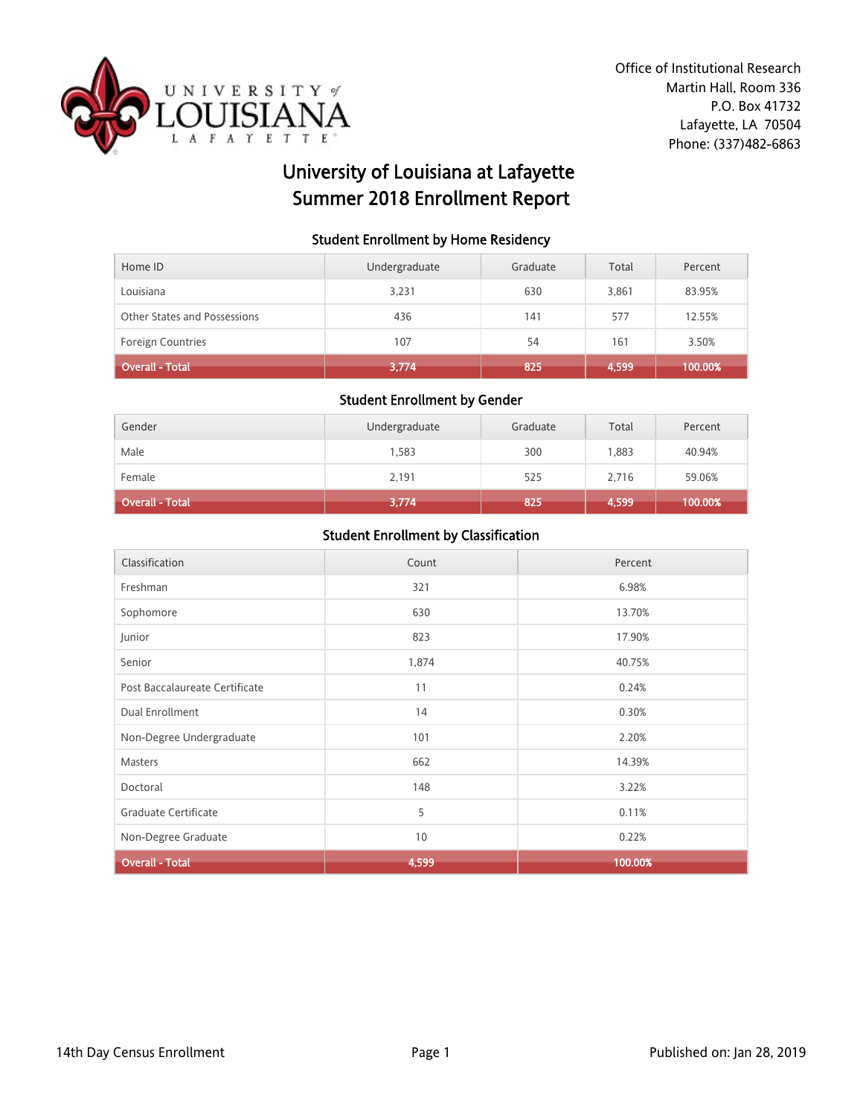

# University of Louisiana at Lafayette Summer 2018 Enrollment Report

#### Student Enrollment by Home Residency

| Home ID                      | Undergraduate | Graduate | Total | Percent |
|------------------------------|---------------|----------|-------|---------|
| Louisiana                    | 3,231         | 630      | 3,861 | 83.95%  |
| Other States and Possessions | 436           | 141      | 577   | 12.55%  |
| <b>Foreign Countries</b>     | 107           | 54       | 161   | 3.50%   |
| Overall - Total              | 3,774         | 825      | 4,599 | 100.00% |

#### Student Enrollment by Gender

| Gender                 | Undergraduate | Graduate | Total | Percent |
|------------------------|---------------|----------|-------|---------|
| Male                   | 1,583         | 300      | 1.883 | 40.94%  |
| Female                 | 2,191         | 525      | 2,716 | 59.06%  |
| <b>Overall - Total</b> | 3,774         | 825      | 4,599 | 100.00% |

| Classification                 | Count | Percent |
|--------------------------------|-------|---------|
| Freshman                       | 321   | 6.98%   |
| Sophomore                      | 630   | 13.70%  |
| Junior                         | 823   | 17.90%  |
| Senior                         | 1,874 | 40.75%  |
| Post Baccalaureate Certificate | 11    | 0.24%   |
| Dual Enrollment                | 14    | 0.30%   |
| Non-Degree Undergraduate       | 101   | 2.20%   |
| Masters                        | 662   | 14.39%  |
| Doctoral                       | 148   | 3.22%   |
| Graduate Certificate           | 5     | 0.11%   |
| Non-Degree Graduate            | 10    | 0.22%   |
| <b>Overall - Total</b>         | 4,599 | 100.00% |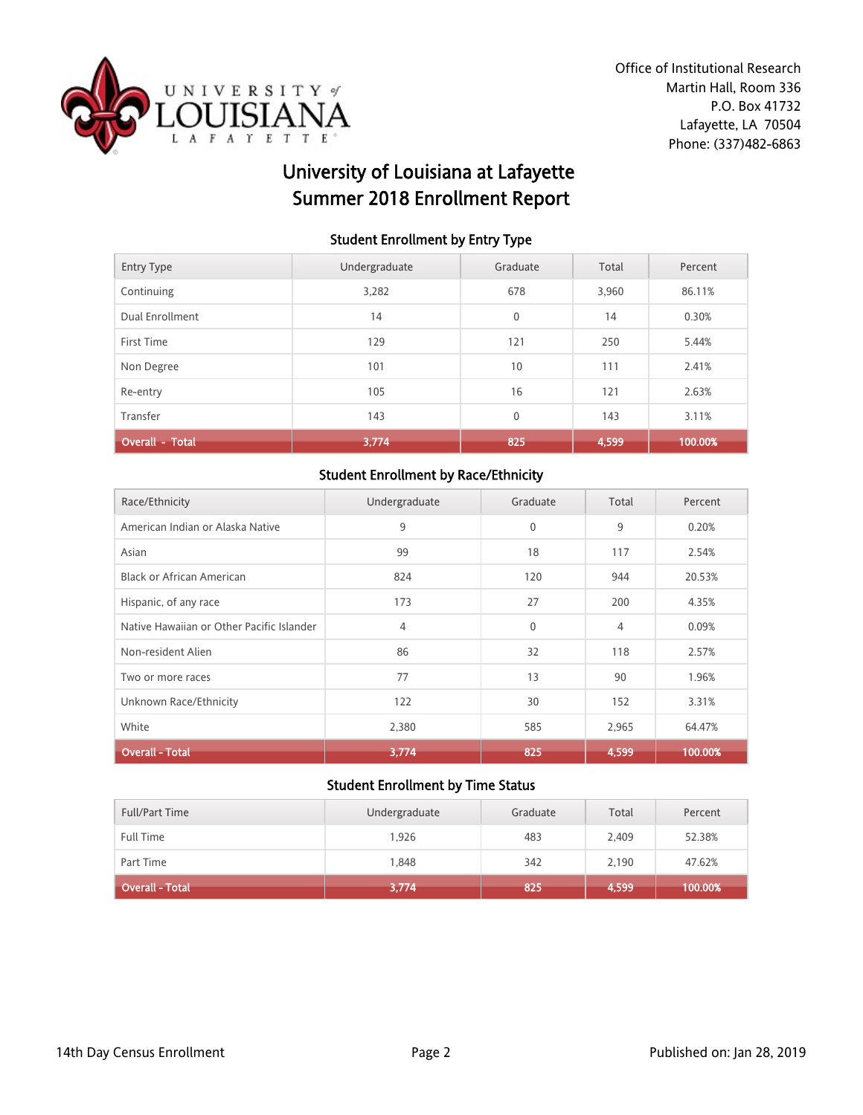

# University of Louisiana at Lafayette Summer 2018 Enrollment Report

### Student Enrollment by Entry Type

| <b>Entry Type</b>      | Undergraduate | Graduate    | Total | Percent |
|------------------------|---------------|-------------|-------|---------|
| Continuing             | 3,282         | 678         | 3,960 | 86.11%  |
| Dual Enrollment        | 14            | $\mathbf 0$ | 14    | 0.30%   |
| First Time             | 129           | 121         | 250   | 5.44%   |
| Non Degree             | 101           | 10          | 111   | 2.41%   |
| Re-entry               | 105           | 16          | 121   | 2.63%   |
| Transfer               | 143           | $\mathbf 0$ | 143   | 3.11%   |
| <b>Overall - Total</b> | 3,774         | 825         | 4,599 | 100.00% |

# Student Enrollment by Race/Ethnicity

| Race/Ethnicity                            | Undergraduate | Graduate     | Total | Percent |
|-------------------------------------------|---------------|--------------|-------|---------|
| American Indian or Alaska Native          | 9             | $\mathbf{0}$ | 9     | 0.20%   |
| Asian                                     | 99            | 18           | 117   | 2.54%   |
| Black or African American                 | 824           | 120          | 944   | 20.53%  |
| Hispanic, of any race                     | 173           | 27           | 200   | 4.35%   |
| Native Hawaiian or Other Pacific Islander | 4             | $\mathbf{0}$ | 4     | 0.09%   |
| Non-resident Alien                        | 86            | 32           | 118   | 2.57%   |
| Two or more races                         | 77            | 13           | 90    | 1.96%   |
| Unknown Race/Ethnicity                    | 122           | 30           | 152   | 3.31%   |
| White                                     | 2,380         | 585          | 2,965 | 64.47%  |
| <b>Overall - Total</b>                    | 3,774         | 825          | 4,599 | 100.00% |

| <b>Full/Part Time</b> | Undergraduate | Graduate | Total | Percent |
|-----------------------|---------------|----------|-------|---------|
| Full Time             | 1.926         | 483      | 2.409 | 52.38%  |
| Part Time             | 1,848         | 342      | 2,190 | 47.62%  |
| Overall - Total       | 3,774         | 825      | 4,599 | 100.00% |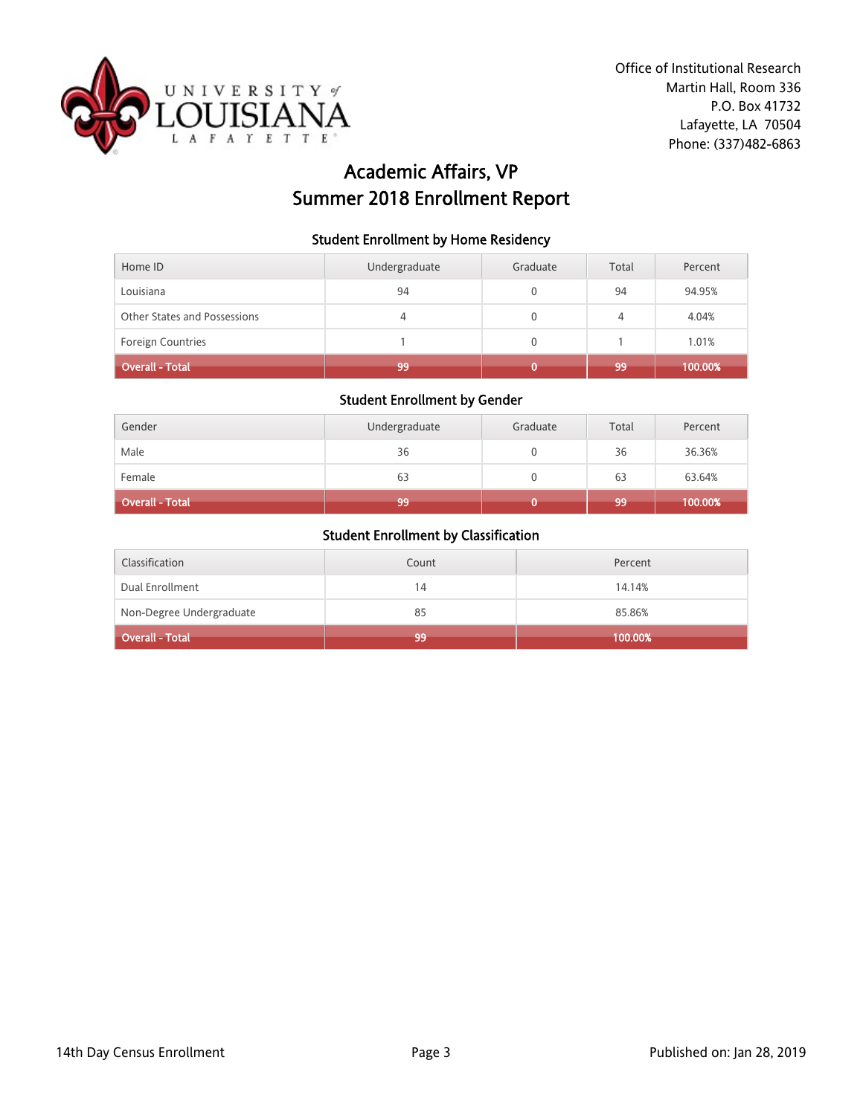

# Academic Affairs, VP Summer 2018 Enrollment Report

### Student Enrollment by Home Residency

| Home ID                      | Undergraduate | Graduate | Total | Percent |
|------------------------------|---------------|----------|-------|---------|
| Louisiana                    | 94            |          | 94    | 94.95%  |
| Other States and Possessions | 4             | 0        | 4     | 4.04%   |
| <b>Foreign Countries</b>     |               | 0        |       | 1.01%   |
| <b>Overall - Total</b>       | 99            |          | 99    | 100.00% |

#### Student Enrollment by Gender

| Gender          | Undergraduate | Graduate | Total | Percent |
|-----------------|---------------|----------|-------|---------|
| Male            | 36            |          | 36    | 36.36%  |
| Female          | 63            |          | 63    | 63.64%  |
| Overall - Total | 99            |          | 99    | 100.00% |

| Classification           | Count | Percent |
|--------------------------|-------|---------|
| Dual Enrollment          | 14    | 14.14%  |
| Non-Degree Undergraduate | 85    | 85.86%  |
| Overall - Total          | 99    | 100.00% |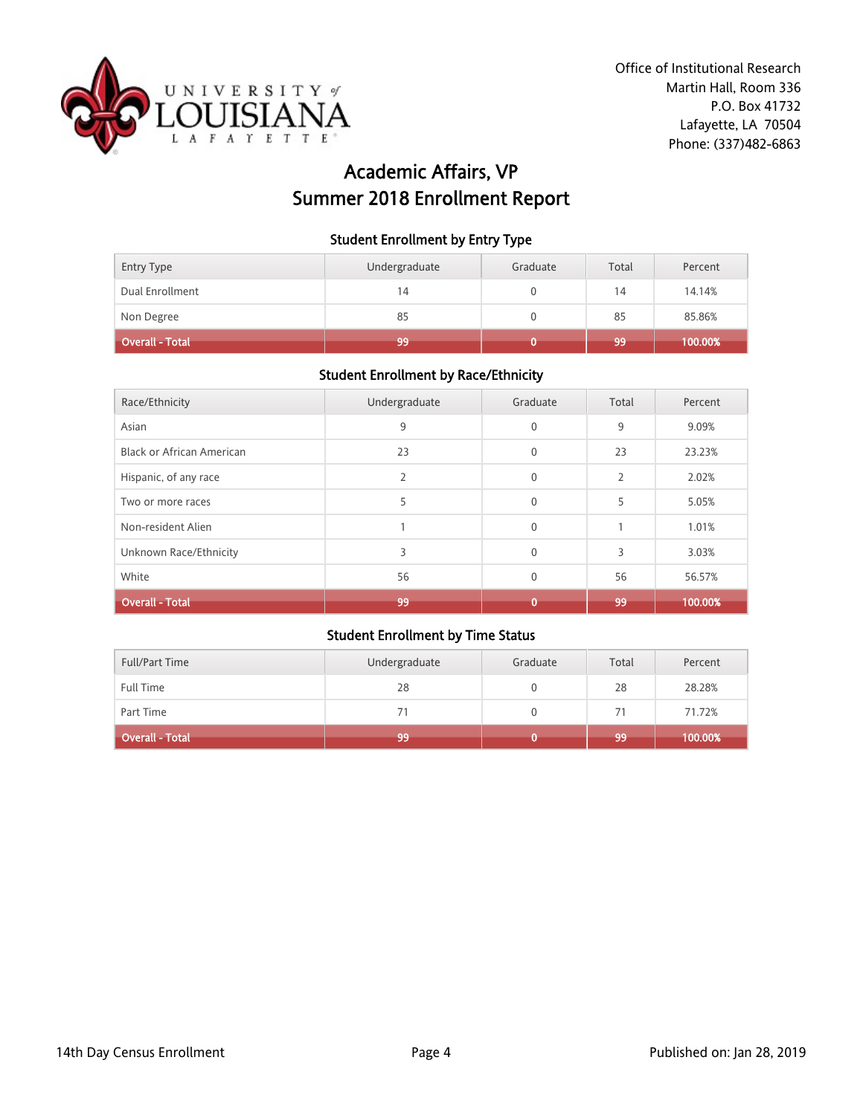

# Academic Affairs, VP Summer 2018 Enrollment Report

#### Student Enrollment by Entry Type

| Entry Type      | Undergraduate | Graduate | Total | Percent |
|-----------------|---------------|----------|-------|---------|
| Dual Enrollment | 14            |          | 14    | 14.14%  |
| Non Degree      | 85            |          | 85    | 85.86%  |
| Overall - Total | 99            |          | 99    | 100.00% |

## Student Enrollment by Race/Ethnicity

| Race/Ethnicity                   | Undergraduate | Graduate     | Total          | Percent |
|----------------------------------|---------------|--------------|----------------|---------|
| Asian                            | 9             | $\mathbf{0}$ | 9              | 9.09%   |
| <b>Black or African American</b> | 23            | $\mathbf{0}$ | 23             | 23.23%  |
| Hispanic, of any race            | 2             | $\mathbf{0}$ | $\overline{2}$ | 2.02%   |
| Two or more races                | 5             | $\Omega$     | 5              | 5.05%   |
| Non-resident Alien               |               | $\mathbf{0}$ |                | 1.01%   |
| Unknown Race/Ethnicity           | 3             | $\Omega$     | 3              | 3.03%   |
| White                            | 56            | $\Omega$     | 56             | 56.57%  |
| <b>Overall - Total</b>           | 99            | 0            | 99             | 100.00% |

| <b>Full/Part Time</b> | Undergraduate | Graduate | Total | Percent |
|-----------------------|---------------|----------|-------|---------|
| Full Time             | 28            |          | 28    | 28.28%  |
| Part Time             | 71            |          | 71    | 71.72%  |
| Overall - Total       | 99            |          | 99    | 100.00% |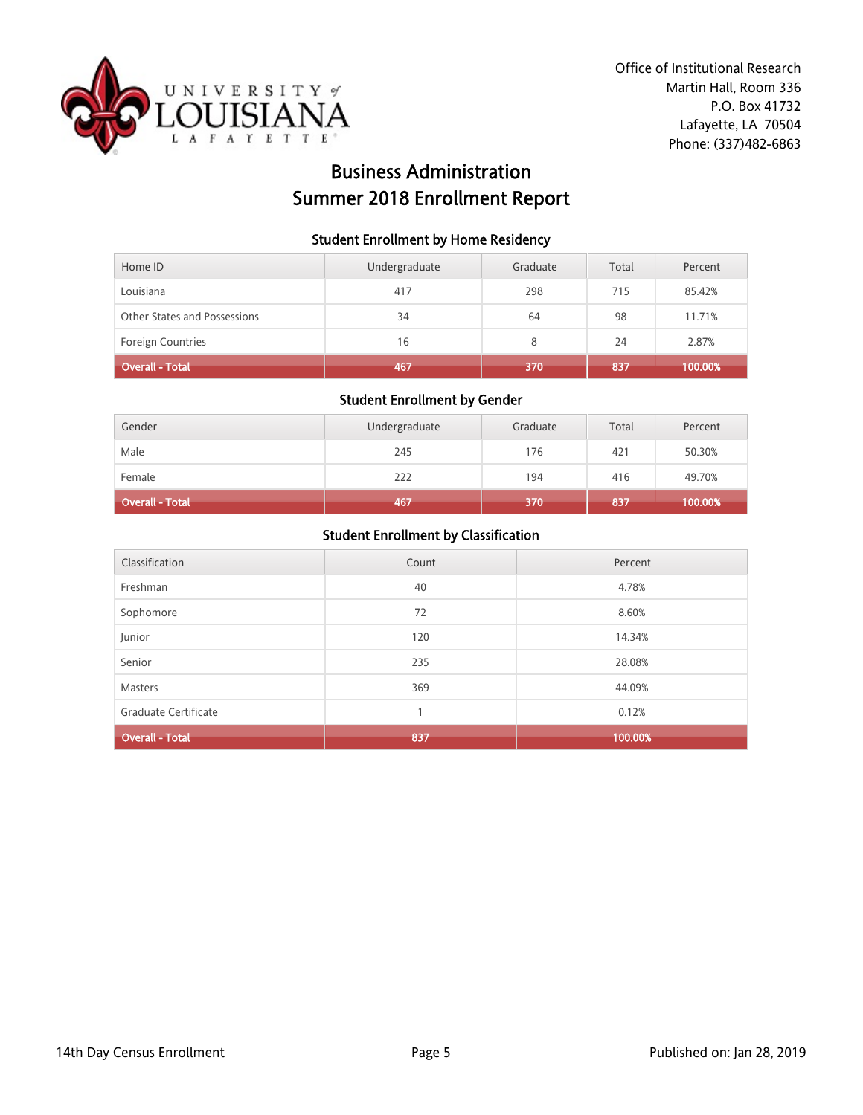

# Business Administration Summer 2018 Enrollment Report

#### Student Enrollment by Home Residency

| Home ID                      | Undergraduate | Graduate | Total | Percent |
|------------------------------|---------------|----------|-------|---------|
| Louisiana                    | 417           | 298      | 715   | 85.42%  |
| Other States and Possessions | 34            | 64       | 98    | 11.71%  |
| <b>Foreign Countries</b>     | 16            | 8        | 24    | 2.87%   |
| <b>Overall - Total</b>       | 467           | 370      | 837   | 100.00% |

#### Student Enrollment by Gender

| Gender          | Undergraduate | Graduate | Total | Percent |
|-----------------|---------------|----------|-------|---------|
| Male            | 245           | 176      | 421   | 50.30%  |
| Female          | 222           | 194      | 416   | 49.70%  |
| Overall - Total | 467           | 370      | 837   | 100.00% |

| Classification         | Count | Percent |
|------------------------|-------|---------|
| Freshman               | 40    | 4.78%   |
| Sophomore              | 72    | 8.60%   |
| Junior                 | 120   | 14.34%  |
| Senior                 | 235   | 28.08%  |
| <b>Masters</b>         | 369   | 44.09%  |
| Graduate Certificate   | 1     | 0.12%   |
| <b>Overall - Total</b> | 837   | 100.00% |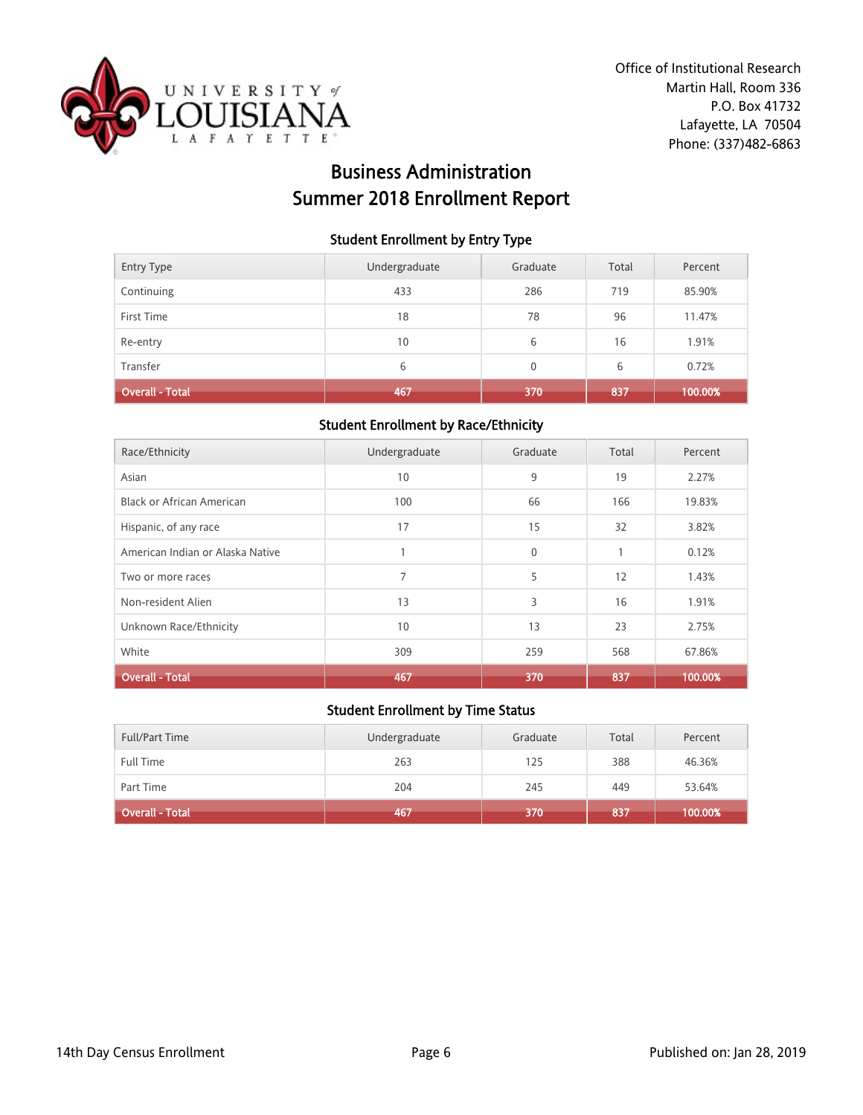

# Business Administration Summer 2018 Enrollment Report

#### Student Enrollment by Entry Type

| Overall - Total   | 467           | 370          | 837   | 100.00% |
|-------------------|---------------|--------------|-------|---------|
| Transfer          | 6             | $\mathbf{0}$ | 6     | 0.72%   |
| Re-entry          | 10            | 6            | 16    | 1.91%   |
| First Time        | 18            | 78           | 96    | 11.47%  |
| Continuing        | 433           | 286          | 719   | 85.90%  |
| <b>Entry Type</b> | Undergraduate | Graduate     | Total | Percent |

### Student Enrollment by Race/Ethnicity

| Race/Ethnicity                   | Undergraduate | Graduate     | Total        | Percent |
|----------------------------------|---------------|--------------|--------------|---------|
| Asian                            | 10            | 9            | 19           | 2.27%   |
| <b>Black or African American</b> | 100           | 66           | 166          | 19.83%  |
| Hispanic, of any race            | 17            | 15           | 32           | 3.82%   |
| American Indian or Alaska Native |               | $\mathbf{0}$ | $\mathbf{1}$ | 0.12%   |
| Two or more races                | 7             | 5            | 12           | 1.43%   |
| Non-resident Alien               | 13            | 3            | 16           | 1.91%   |
| Unknown Race/Ethnicity           | 10            | 13           | 23           | 2.75%   |
| White                            | 309           | 259          | 568          | 67.86%  |
| <b>Overall - Total</b>           | 467           | 370          | 837          | 100.00% |

| <b>Full/Part Time</b>  | Undergraduate | Graduate | Total | Percent |
|------------------------|---------------|----------|-------|---------|
| Full Time              | 263           | 125      | 388   | 46.36%  |
| Part Time              | 204           | 245      | 449   | 53.64%  |
| <b>Overall - Total</b> | 467           | 370      | 837   | 100.00% |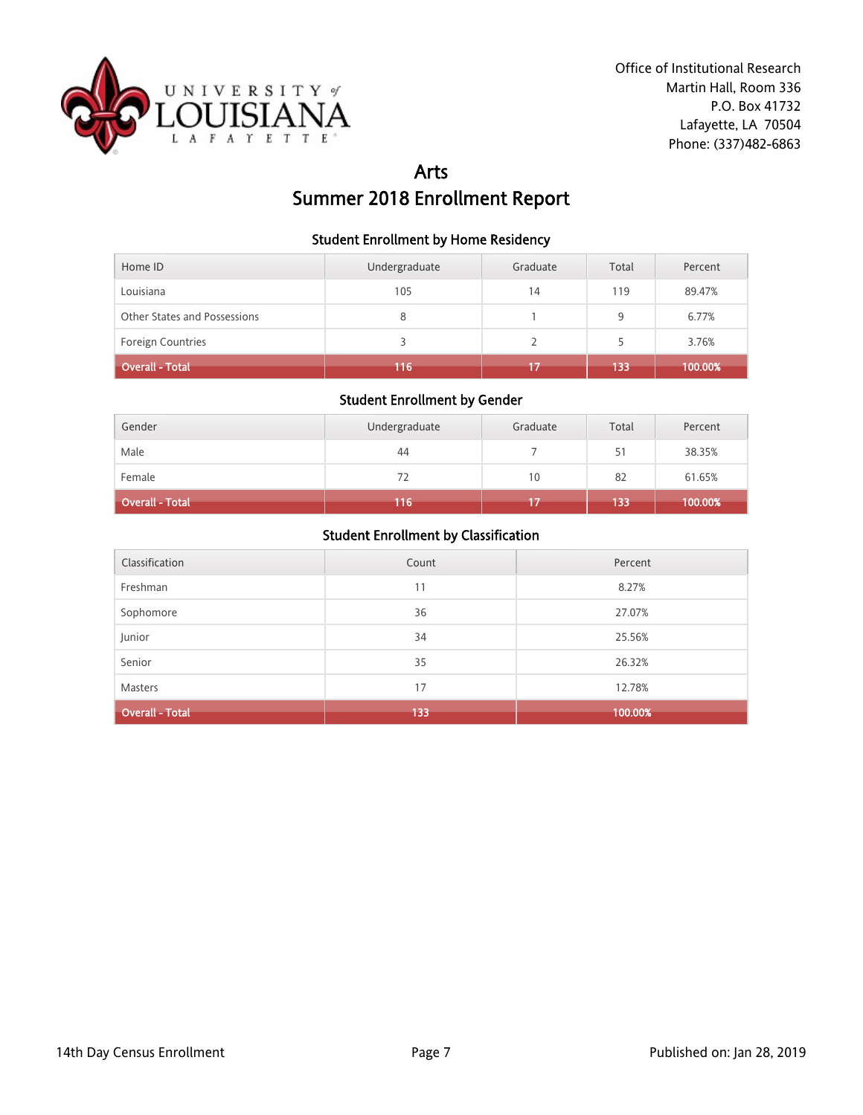

# Arts Summer 2018 Enrollment Report

#### Student Enrollment by Home Residency

| Home ID                      | Undergraduate | Graduate | Total | Percent |
|------------------------------|---------------|----------|-------|---------|
| Louisiana                    | 105           | 14       | 119   | 89.47%  |
| Other States and Possessions | 8             |          | 9     | 6.77%   |
| <b>Foreign Countries</b>     |               |          | 5     | 3.76%   |
| <b>Overall - Total</b>       | 116           | 17       | 133   | 100.00% |

## Student Enrollment by Gender

| Gender                 | Undergraduate | Graduate | Total | Percent |
|------------------------|---------------|----------|-------|---------|
| Male                   | 44            |          | 51    | 38.35%  |
| Female                 | 72            | 10       | 82    | 61.65%  |
| <b>Overall - Total</b> | 116           |          | 133   | 100.00% |

| Classification         | Count | Percent |
|------------------------|-------|---------|
| Freshman               | 11    | 8.27%   |
| Sophomore              | 36    | 27.07%  |
| Junior                 | 34    | 25.56%  |
| Senior                 | 35    | 26.32%  |
| Masters                | 17    | 12.78%  |
| <b>Overall - Total</b> | 133   | 100.00% |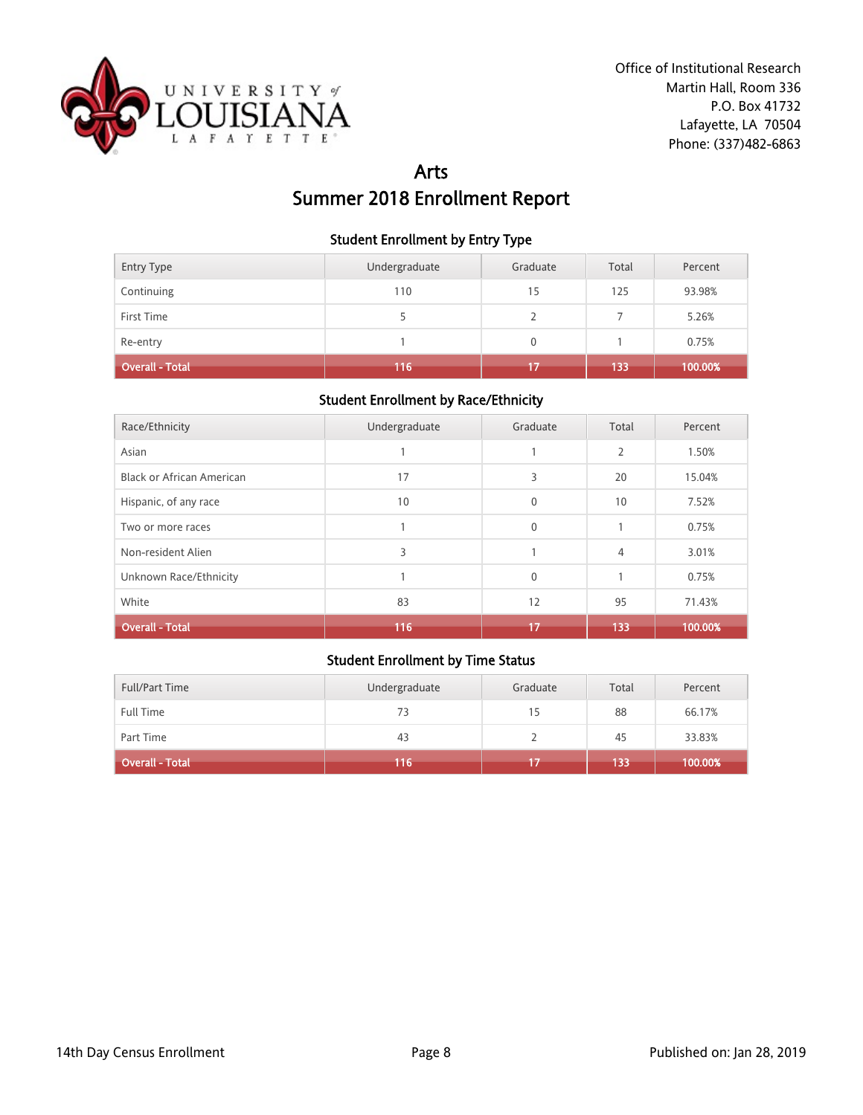

# Arts Summer 2018 Enrollment Report

#### Student Enrollment by Entry Type

| Entry Type             | Undergraduate | Graduate     | Total | Percent |
|------------------------|---------------|--------------|-------|---------|
| Continuing             | 110           | 15           | 125   | 93.98%  |
| First Time             |               |              |       | 5.26%   |
| Re-entry               |               | $\mathbf{0}$ |       | 0.75%   |
| <b>Overall - Total</b> | 116           | 17           | 133   | 100.00% |

#### Student Enrollment by Race/Ethnicity

| Race/Ethnicity                   | Undergraduate | Graduate     | Total | Percent |
|----------------------------------|---------------|--------------|-------|---------|
| Asian                            |               |              | 2     | 1.50%   |
| <b>Black or African American</b> | 17            | 3            | 20    | 15.04%  |
| Hispanic, of any race            | 10            | $\mathbf{0}$ | 10    | 7.52%   |
| Two or more races                |               | $\mathbf{0}$ |       | 0.75%   |
| Non-resident Alien               | 3             |              | 4     | 3.01%   |
| Unknown Race/Ethnicity           |               | $\mathbf{0}$ |       | 0.75%   |
| White                            | 83            | 12           | 95    | 71.43%  |
| <b>Overall - Total</b>           | 116           | 17           | 133   | 100.00% |

| <b>Full/Part Time</b>  | Undergraduate | Graduate | Total | Percent |
|------------------------|---------------|----------|-------|---------|
| <b>Full Time</b>       | 73            | 15       | 88    | 66.17%  |
| Part Time              | 43            |          | 45    | 33.83%  |
| <b>Overall - Total</b> | 116           |          | 133   | 100.00% |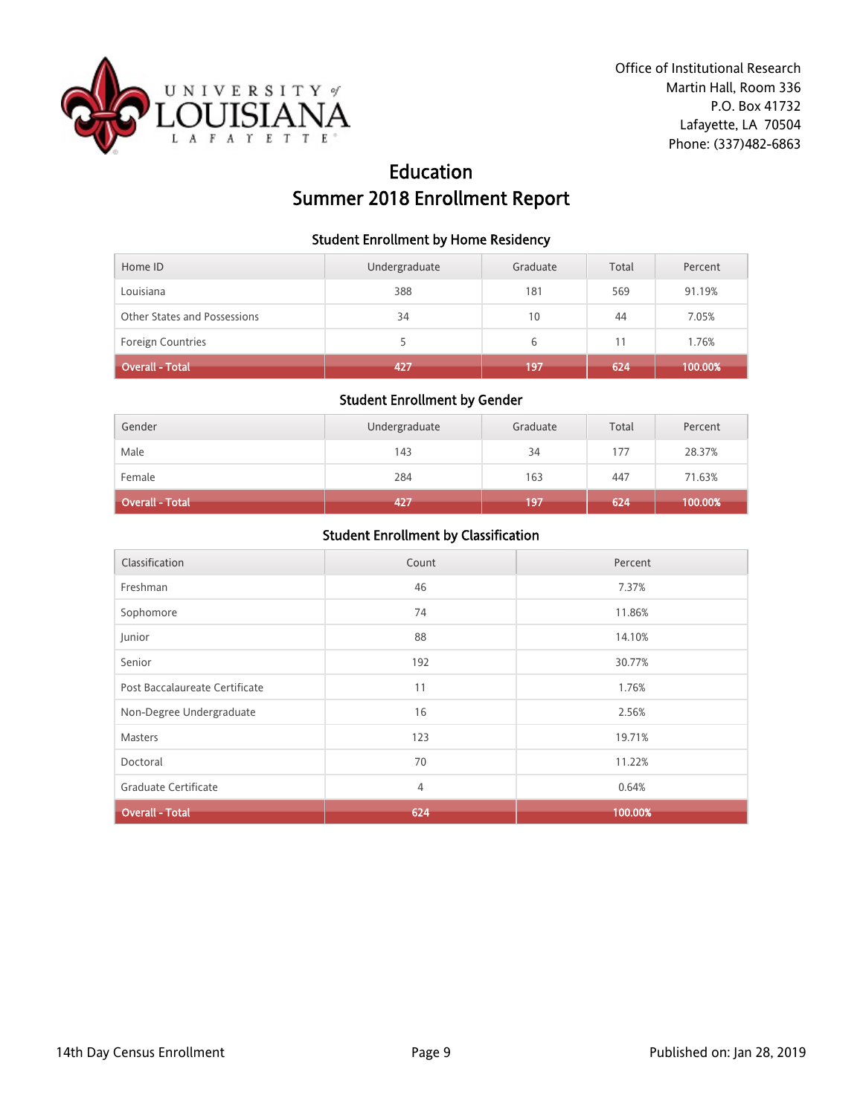

# Education Summer 2018 Enrollment Report

#### Student Enrollment by Home Residency

| Home ID                      | Undergraduate | Graduate | Total | Percent |
|------------------------------|---------------|----------|-------|---------|
| Louisiana                    | 388           | 181      | 569   | 91.19%  |
| Other States and Possessions | 34            | 10       | 44    | 7.05%   |
| <b>Foreign Countries</b>     |               | 6        |       | 1.76%   |
| Overall - Total              | 427           | 197      | 624   | 100.00% |

## Student Enrollment by Gender

| Gender                 | Undergraduate | Graduate | Total | Percent |
|------------------------|---------------|----------|-------|---------|
| Male                   | 143           | 34       | 177   | 28.37%  |
| Female                 | 284           | 163      | 447   | 71.63%  |
| <b>Overall - Total</b> | 427           | 197      | 624   | 100.00% |

| Classification                 | Count          | Percent |
|--------------------------------|----------------|---------|
| Freshman                       | 46             | 7.37%   |
| Sophomore                      | 74             | 11.86%  |
| Junior                         | 88             | 14.10%  |
| Senior                         | 192            | 30.77%  |
| Post Baccalaureate Certificate | 11             | 1.76%   |
| Non-Degree Undergraduate       | 16             | 2.56%   |
| <b>Masters</b>                 | 123            | 19.71%  |
| Doctoral                       | 70             | 11.22%  |
| Graduate Certificate           | $\overline{4}$ | 0.64%   |
| <b>Overall - Total</b>         | 624            | 100.00% |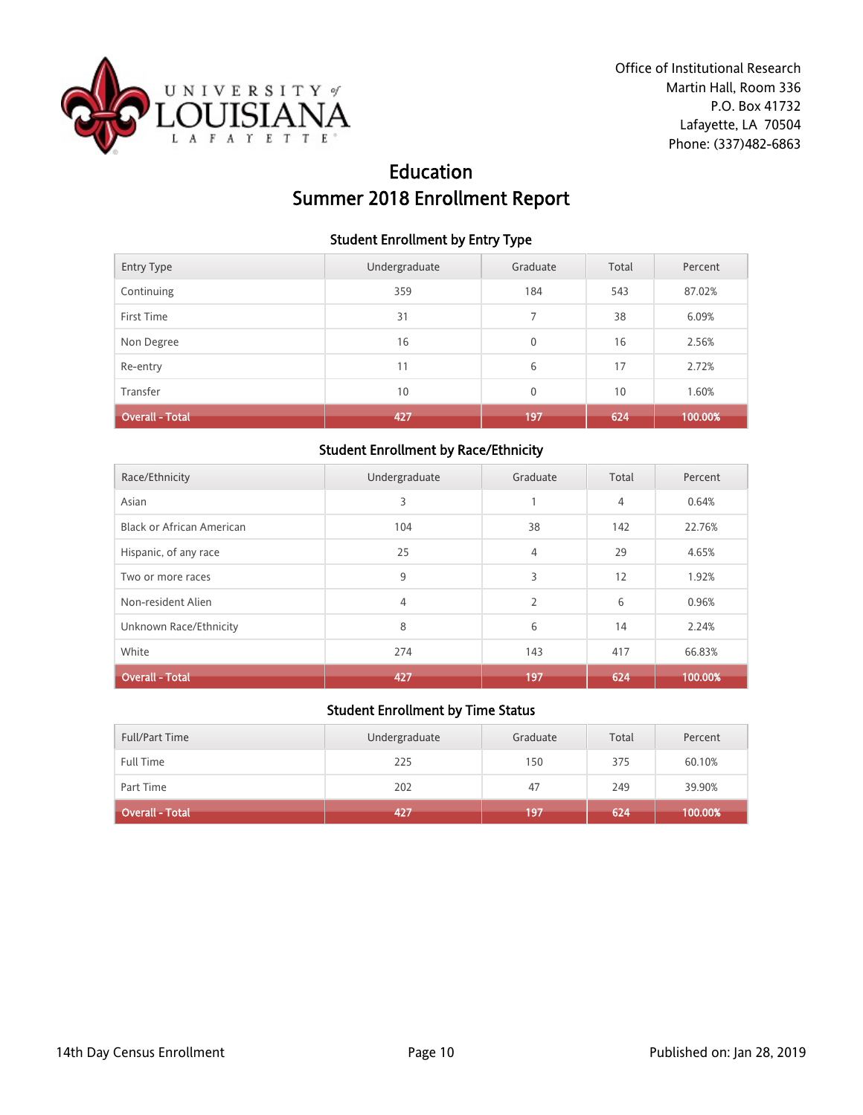

# Education Summer 2018 Enrollment Report

### Student Enrollment by Entry Type

| <b>Entry Type</b>      | Undergraduate | Graduate     | Total | Percent |
|------------------------|---------------|--------------|-------|---------|
| Continuing             | 359           | 184          | 543   | 87.02%  |
| First Time             | 31            | 7            | 38    | 6.09%   |
| Non Degree             | 16            | $\mathbf{0}$ | 16    | 2.56%   |
| Re-entry               | 11            | 6            | 17    | 2.72%   |
| Transfer               | 10            | $\mathbf{0}$ | 10    | 1.60%   |
| <b>Overall - Total</b> | 427           | 197          | 624   | 100.00% |

### Student Enrollment by Race/Ethnicity

| Race/Ethnicity                   | Undergraduate | Graduate       | Total | Percent |
|----------------------------------|---------------|----------------|-------|---------|
| Asian                            | 3             |                | 4     | 0.64%   |
| <b>Black or African American</b> | 104           | 38             | 142   | 22.76%  |
| Hispanic, of any race            | 25            | 4              | 29    | 4.65%   |
| Two or more races                | 9             | 3              | 12    | 1.92%   |
| Non-resident Alien               | 4             | $\overline{2}$ | 6     | 0.96%   |
| Unknown Race/Ethnicity           | 8             | 6              | 14    | 2.24%   |
| White                            | 274           | 143            | 417   | 66.83%  |
| <b>Overall - Total</b>           | 427           | 197            | 624   | 100.00% |

| <b>Full/Part Time</b>  | Undergraduate | Graduate | Total | Percent |
|------------------------|---------------|----------|-------|---------|
| Full Time              | 225           | 150      | 375   | 60.10%  |
| Part Time              | 202           | 47       | 249   | 39.90%  |
| <b>Overall - Total</b> | 1427          | 197      | 624   | 100.00% |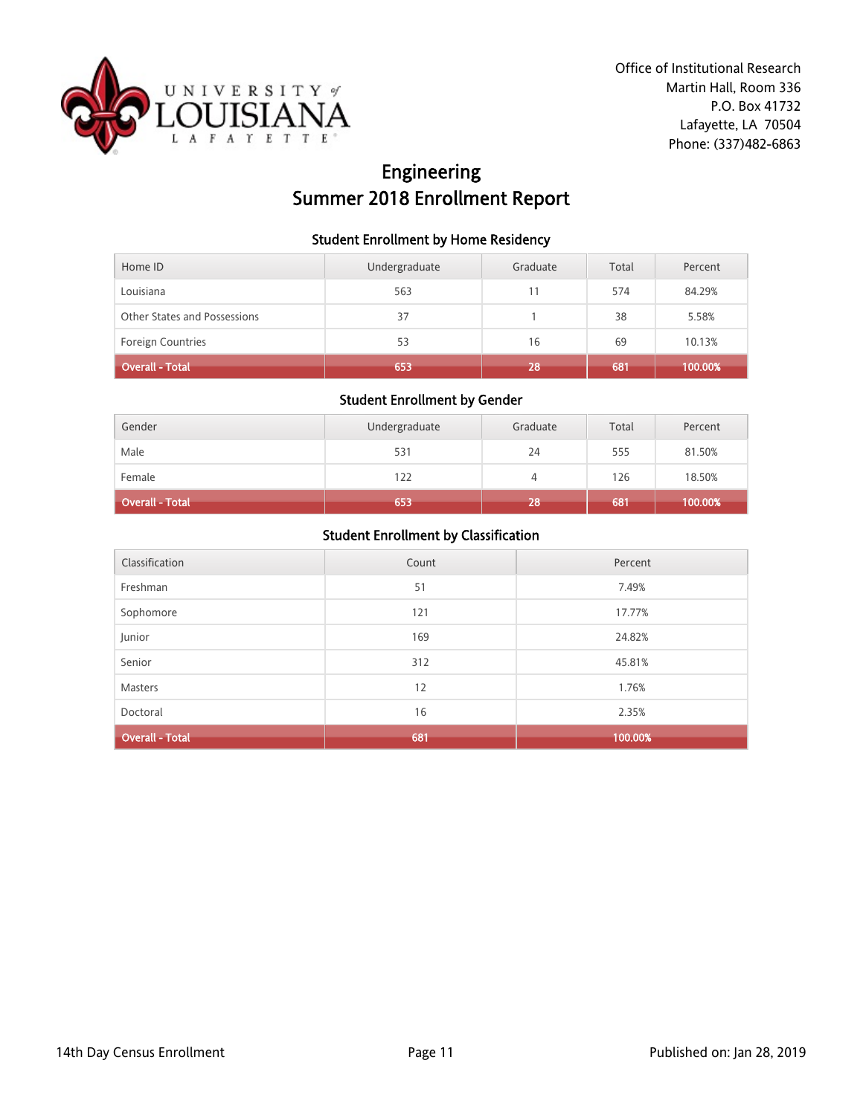

# Engineering Summer 2018 Enrollment Report

### Student Enrollment by Home Residency

| Home ID                      | Undergraduate | Graduate | Total | Percent |
|------------------------------|---------------|----------|-------|---------|
| Louisiana                    | 563           | 11       | 574   | 84.29%  |
| Other States and Possessions | 37            |          | 38    | 5.58%   |
| <b>Foreign Countries</b>     | 53            | 16       | 69    | 10.13%  |
| <b>Overall - Total</b>       | 653           | '28      | 681   | 100.00% |

## Student Enrollment by Gender

| Gender                 | Undergraduate | Graduate | Total | Percent |
|------------------------|---------------|----------|-------|---------|
| Male                   | 531           | 24       | 555   | 81.50%  |
| Female                 | 122           | 4        | 126   | 18.50%  |
| <b>Overall - Total</b> | 653           | 28       | 681   | 100.00% |

| Classification         | Count | Percent |
|------------------------|-------|---------|
| Freshman               | 51    | 7.49%   |
| Sophomore              | 121   | 17.77%  |
| Junior                 | 169   | 24.82%  |
| Senior                 | 312   | 45.81%  |
| Masters                | 12    | 1.76%   |
| Doctoral               | 16    | 2.35%   |
| <b>Overall - Total</b> | 681   | 100.00% |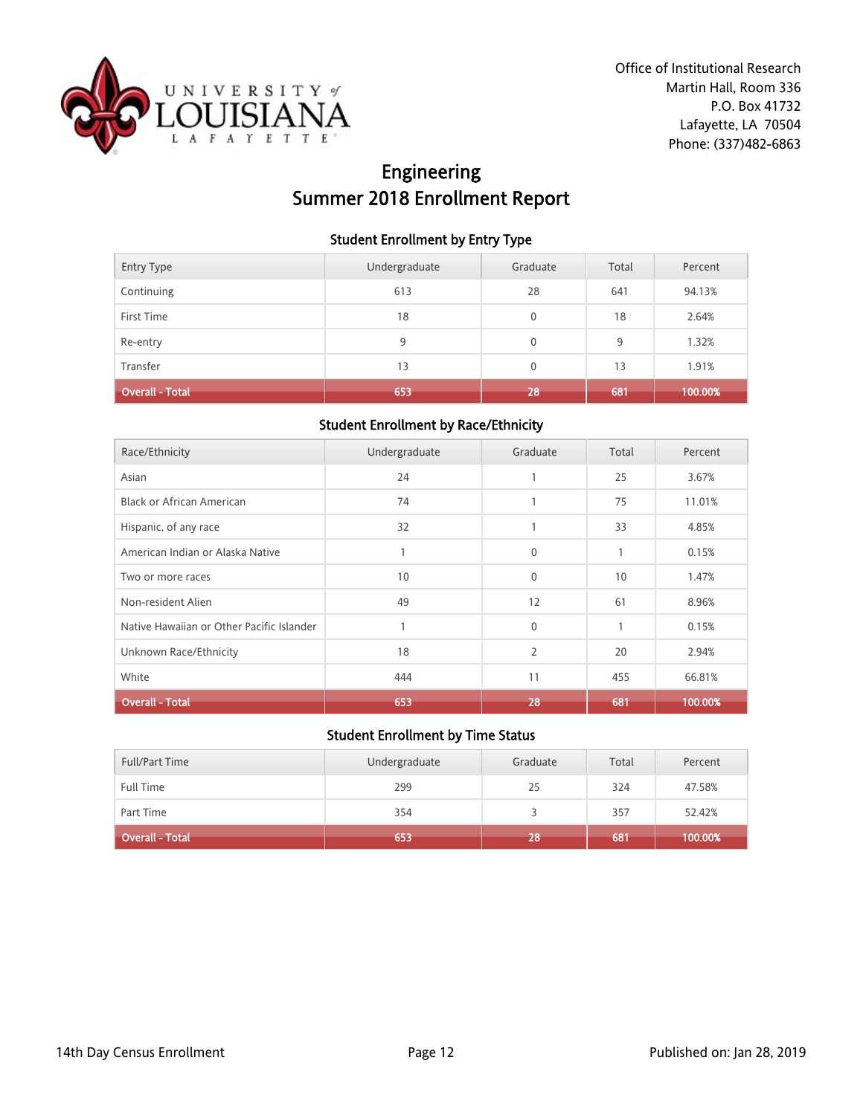

# Engineering Summer 2018 Enrollment Report

### Student Enrollment by Entry Type

| <b>Entry Type</b>      | Undergraduate | Graduate     | Total | Percent |
|------------------------|---------------|--------------|-------|---------|
| Continuing             | 613           | 28           | 641   | 94.13%  |
| First Time             | 18            | $\mathbf{0}$ | 18    | 2.64%   |
| Re-entry               | 9             | $\mathbf{0}$ | 9     | 1.32%   |
| Transfer               | 13            | $\mathbf{0}$ | 13    | 1.91%   |
| <b>Overall - Total</b> | 653           | 28           | 681   | 100.00% |

### Student Enrollment by Race/Ethnicity

| Race/Ethnicity                            | Undergraduate | Graduate       | Total        | Percent |
|-------------------------------------------|---------------|----------------|--------------|---------|
| Asian                                     | 24            | 1              | 25           | 3.67%   |
| <b>Black or African American</b>          | 74            |                | 75           | 11.01%  |
| Hispanic, of any race                     | 32            |                | 33           | 4.85%   |
| American Indian or Alaska Native          | 1             | $\mathbf{0}$   | $\mathbf{1}$ | 0.15%   |
| Two or more races                         | 10            | $\mathbf{0}$   | 10           | 1.47%   |
| Non-resident Alien                        | 49            | 12             | 61           | 8.96%   |
| Native Hawaiian or Other Pacific Islander | $\mathbf{1}$  | $\mathbf{0}$   | $\mathbf{1}$ | 0.15%   |
| Unknown Race/Ethnicity                    | 18            | $\overline{2}$ | 20           | 2.94%   |
| White                                     | 444           | 11             | 455          | 66.81%  |
| <b>Overall - Total</b>                    | 653           | 28             | 681          | 100.00% |

| <b>Full/Part Time</b> | Undergraduate | Graduate | Total | Percent |
|-----------------------|---------------|----------|-------|---------|
| <b>Full Time</b>      | 299           | 25       | 324   | 47.58%  |
| Part Time             | 354           |          | 357   | 52.42%  |
| Overall - Total       | 653           | 28       | 681   | 100.00% |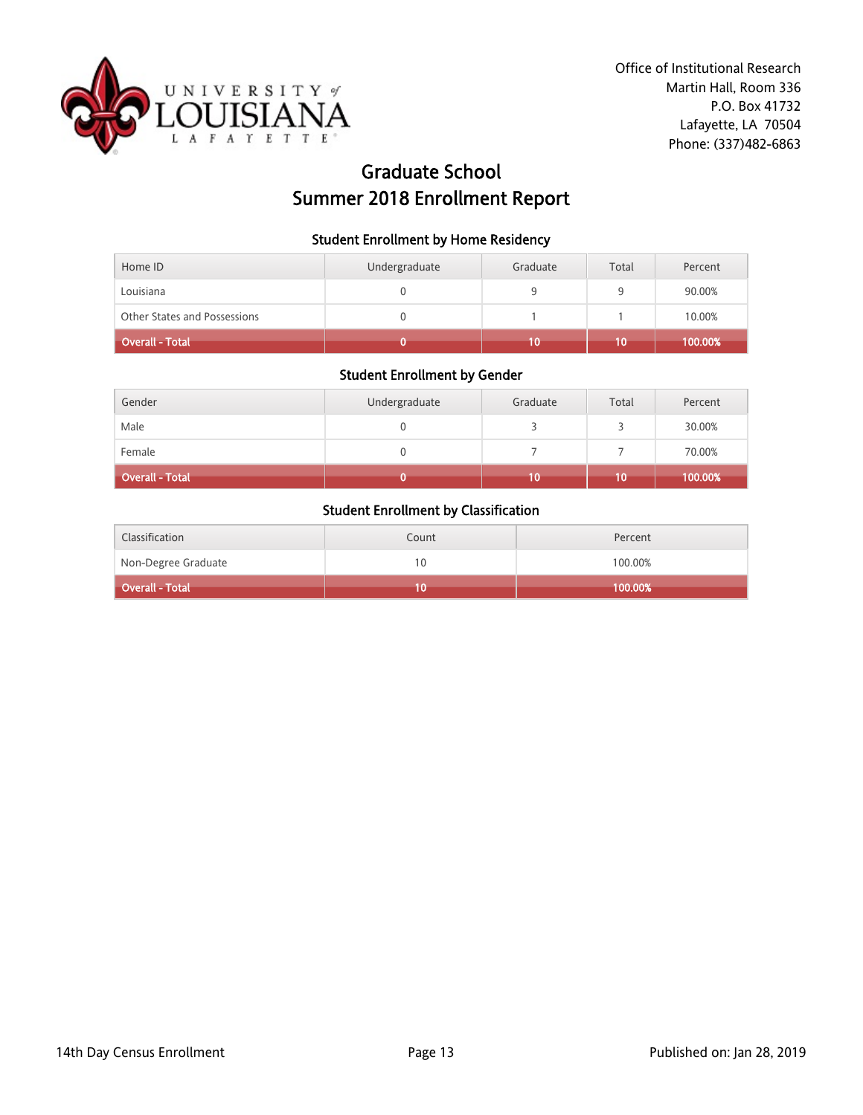

# Graduate School Summer 2018 Enrollment Report

#### Student Enrollment by Home Residency

| Other States and Possessions |               |          |       | 10.00%  |
|------------------------------|---------------|----------|-------|---------|
| Louisiana                    |               |          | Q     | 90.00%  |
| Home ID                      | Undergraduate | Graduate | Total | Percent |

## Student Enrollment by Gender

| Gender                 | Undergraduate | Graduate | Total | Percent |
|------------------------|---------------|----------|-------|---------|
| Male                   |               |          |       | 30.00%  |
| Female                 |               |          |       | 70.00%  |
| <b>Overall - Total</b> |               | 10       | 10    | 100.00% |

| Classification      | Count | Percent |
|---------------------|-------|---------|
| Non-Degree Graduate | 10    | 100.00% |
| Overall - Total     |       | 100.00% |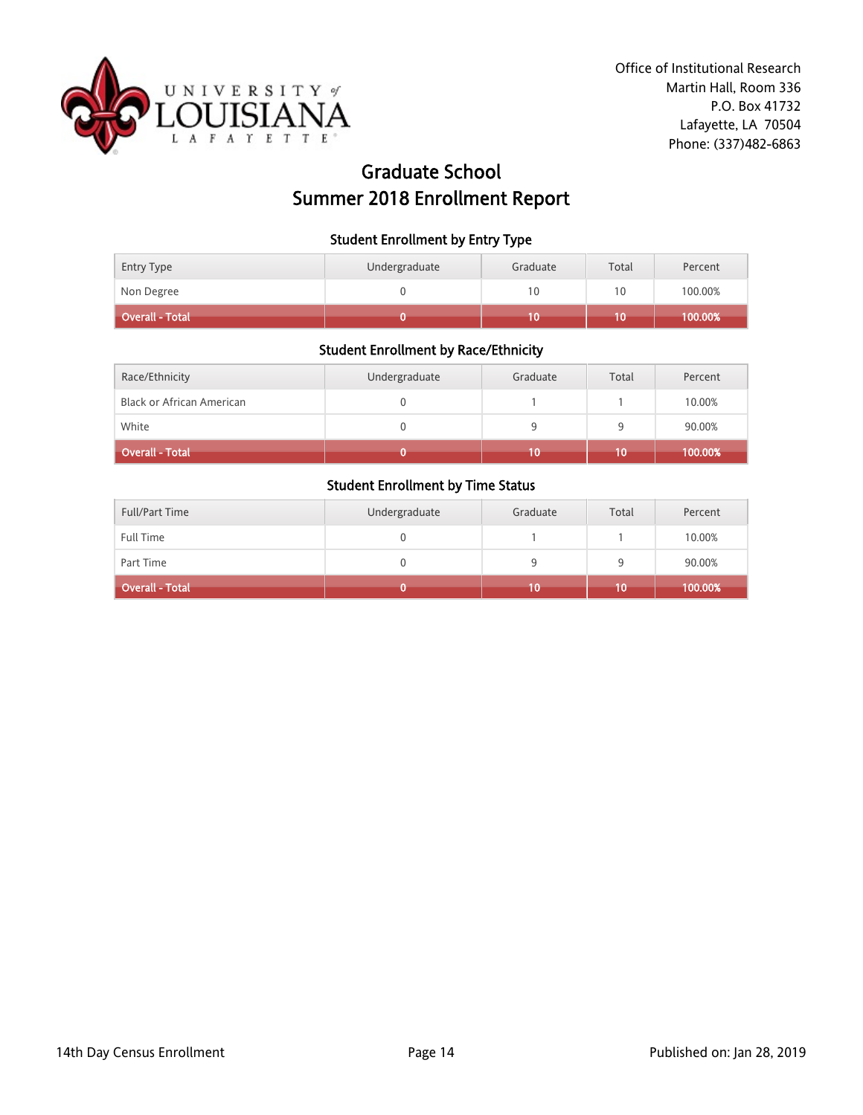

# Graduate School Summer 2018 Enrollment Report

#### Student Enrollment by Entry Type

| Overall - Total |               |          | 10    | $100.00\%$ i |
|-----------------|---------------|----------|-------|--------------|
| Non Degree      |               | 10       | 10    | 100.00%      |
| Entry Type      | Undergraduate | Graduate | Total | Percent      |

#### Student Enrollment by Race/Ethnicity

| Race/Ethnicity                   | Undergraduate | Graduate | Total | Percent |
|----------------------------------|---------------|----------|-------|---------|
| <b>Black or African American</b> |               |          |       | 10.00%  |
| White                            |               |          | a     | 90.00%  |
| Overall - Total                  |               | 10       | 10    | 100.00% |

| <b>Full/Part Time</b>  | Undergraduate | Graduate | Total | Percent |
|------------------------|---------------|----------|-------|---------|
| Full Time              |               |          |       | 10.00%  |
| Part Time              |               |          | Q     | 90.00%  |
| <b>Overall - Total</b> |               | 10       | 10    | 100.00% |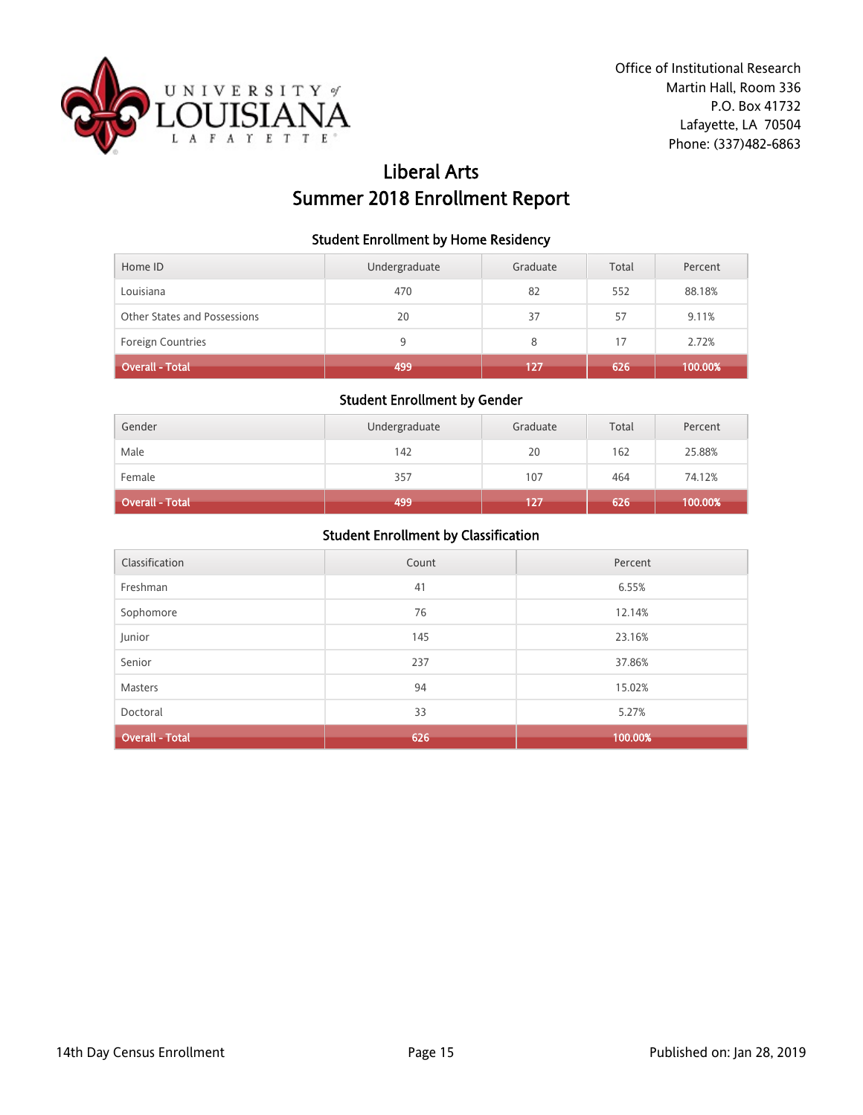

# Liberal Arts Summer 2018 Enrollment Report

### Student Enrollment by Home Residency

| Home ID                      | Undergraduate | Graduate | Total | Percent |
|------------------------------|---------------|----------|-------|---------|
| Louisiana                    | 470           | 82       | 552   | 88.18%  |
| Other States and Possessions | 20            | 37       | 57    | 9.11%   |
| <b>Foreign Countries</b>     | 9             | 8        | 17    | 2.72%   |
| Overall - Total <sup> </sup> | 499           | 127      | 626   | 100.00% |

## Student Enrollment by Gender

| Gender                 | Undergraduate | Graduate | Total | Percent |
|------------------------|---------------|----------|-------|---------|
| Male                   | 142           | 20       | 162   | 25.88%  |
| Female                 | 357           | 107      | 464   | 74.12%  |
| <b>Overall - Total</b> | 499           | 127      | 626   | 100.00% |

| Classification         | Count | Percent |
|------------------------|-------|---------|
| Freshman               | 41    | 6.55%   |
| Sophomore              | 76    | 12.14%  |
| Junior                 | 145   | 23.16%  |
| Senior                 | 237   | 37.86%  |
| Masters                | 94    | 15.02%  |
| Doctoral               | 33    | 5.27%   |
| <b>Overall - Total</b> | 626   | 100.00% |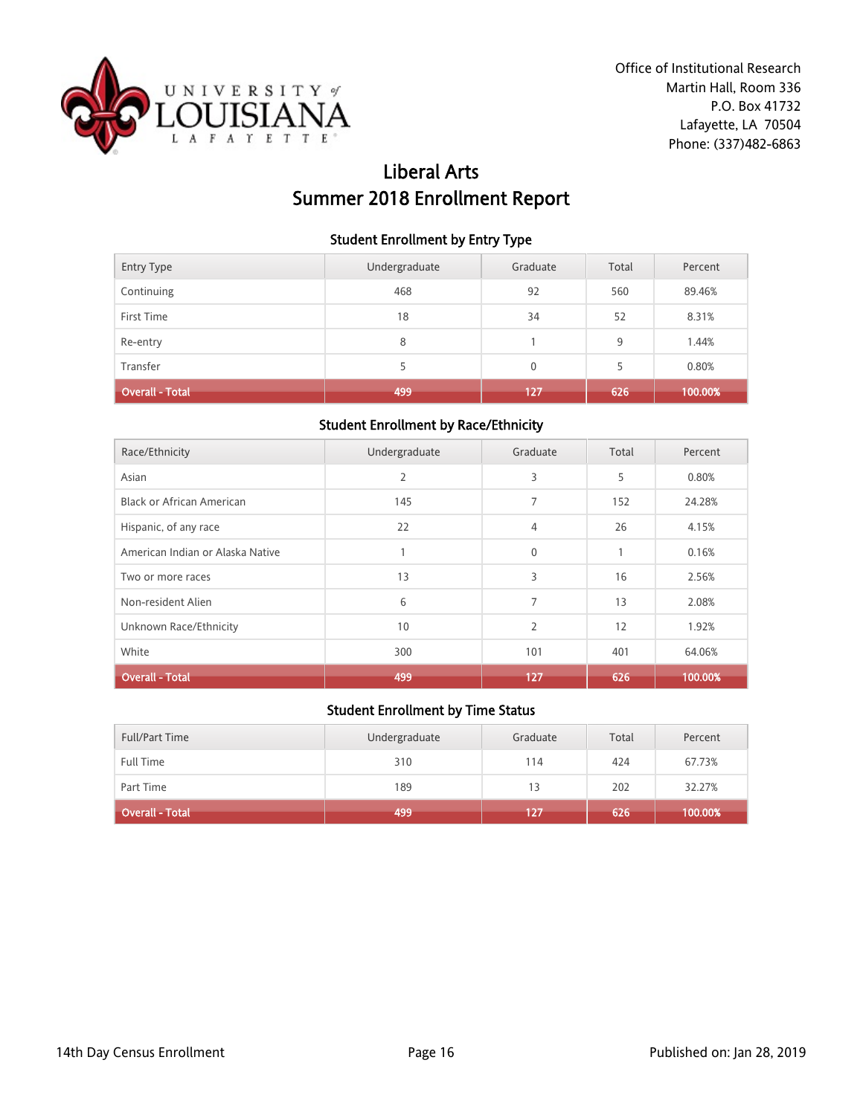

# Liberal Arts Summer 2018 Enrollment Report

### Student Enrollment by Entry Type

| Overall - Total   | 499           | 127          | 626   | 100.00% |
|-------------------|---------------|--------------|-------|---------|
| Transfer          | 5.            | $\mathbf{0}$ | 5     | 0.80%   |
| Re-entry          | 8             |              | 9     | 1.44%   |
| First Time        | 18            | 34           | 52    | 8.31%   |
| Continuing        | 468           | 92           | 560   | 89.46%  |
| <b>Entry Type</b> | Undergraduate | Graduate     | Total | Percent |

### Student Enrollment by Race/Ethnicity

| Race/Ethnicity                   | Undergraduate | Graduate       | Total        | Percent |
|----------------------------------|---------------|----------------|--------------|---------|
|                                  |               |                |              |         |
| Asian                            | 2             | 3              | 5            | 0.80%   |
| Black or African American        | 145           | 7              | 152          | 24.28%  |
| Hispanic, of any race            | 22            | 4              | 26           | 4.15%   |
| American Indian or Alaska Native |               | $\mathbf{0}$   | $\mathbf{1}$ | 0.16%   |
| Two or more races                | 13            | 3              | 16           | 2.56%   |
| Non-resident Alien               | 6             | 7              | 13           | 2.08%   |
| Unknown Race/Ethnicity           | 10            | $\overline{2}$ | 12           | 1.92%   |
| White                            | 300           | 101            | 401          | 64.06%  |
| <b>Overall - Total</b>           | 499           | 127            | 626          | 100.00% |

| <b>Full/Part Time</b>  | Undergraduate | Graduate | Total | Percent |
|------------------------|---------------|----------|-------|---------|
| <b>Full Time</b>       | 310           | 114      | 424   | 67.73%  |
| Part Time              | 189           | 13       | 202   | 32.27%  |
| <b>Overall - Total</b> | 499           | 127      | 626   | 100.00% |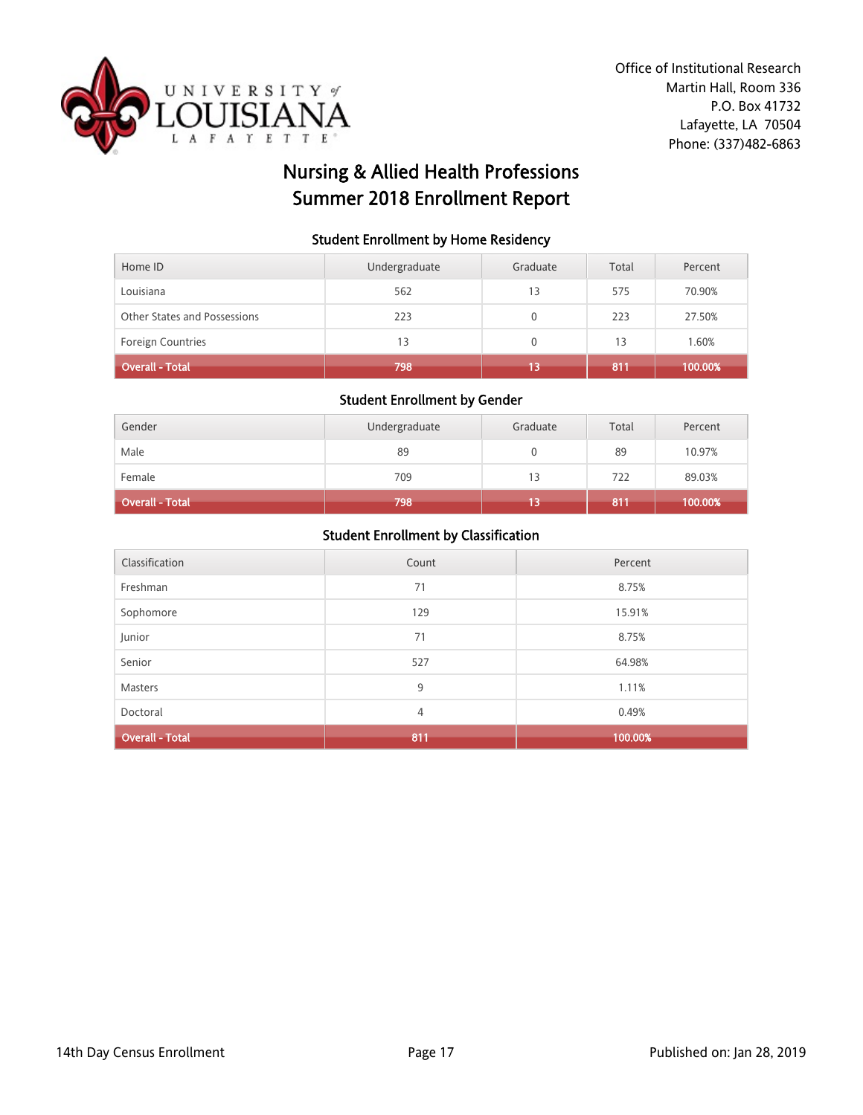

# Nursing & Allied Health Professions Summer 2018 Enrollment Report

#### Student Enrollment by Home Residency

| Home ID                      | Undergraduate | Graduate | Total | Percent |
|------------------------------|---------------|----------|-------|---------|
| Louisiana                    | 562           | 13       | 575   | 70.90%  |
| Other States and Possessions | 223           |          | 223   | 27.50%  |
| <b>Foreign Countries</b>     | 13            | 0        | 13    | 1.60%   |
| <b>Overall - Total</b>       | 798           |          | 811   | 100.00% |

#### Student Enrollment by Gender

| Gender                 | Undergraduate | Graduate | Total | Percent |
|------------------------|---------------|----------|-------|---------|
| Male                   | 89            |          | 89    | 10.97%  |
| Female                 | 709           | 13       | 722   | 89.03%  |
| <b>Overall - Total</b> | 798           | 13       | 811   | 100.00% |

| Classification         | Count | Percent |
|------------------------|-------|---------|
| Freshman               | 71    | 8.75%   |
| Sophomore              | 129   | 15.91%  |
| Junior                 | 71    | 8.75%   |
| Senior                 | 527   | 64.98%  |
| Masters                | 9     | 1.11%   |
| Doctoral               | 4     | 0.49%   |
| <b>Overall - Total</b> | 811   | 100.00% |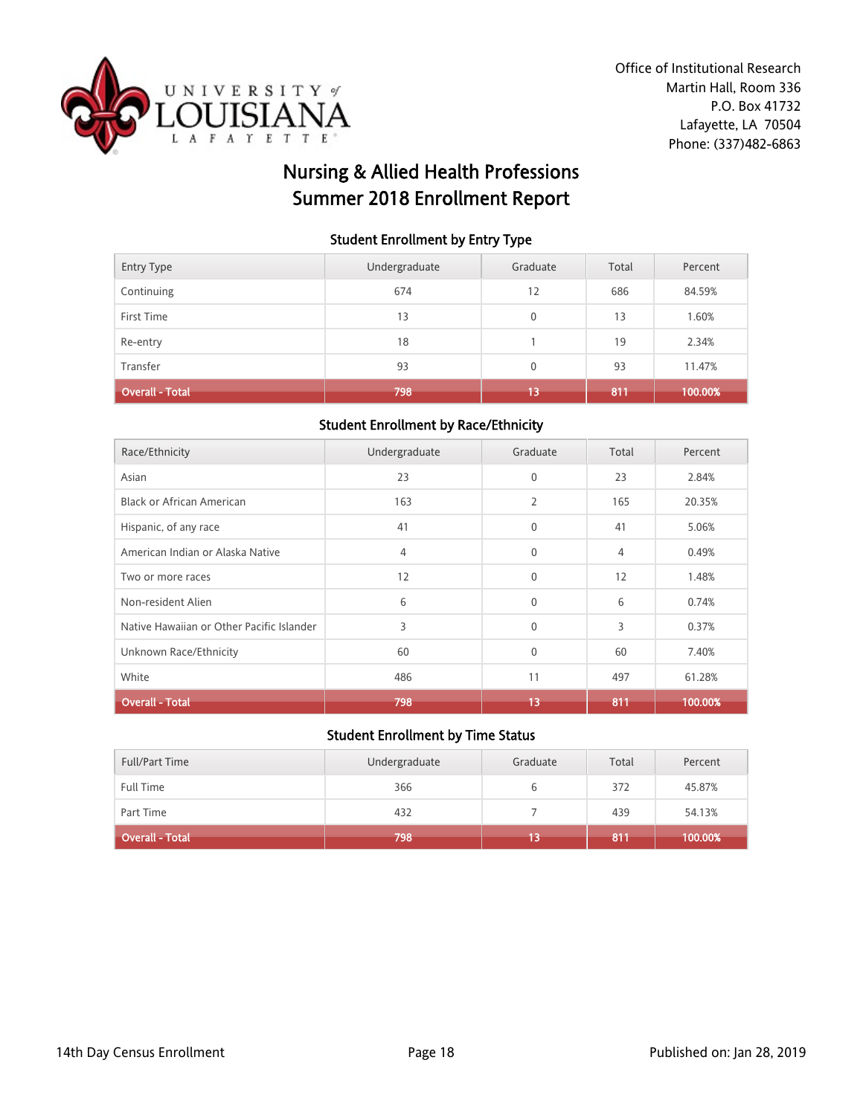

# Nursing & Allied Health Professions Summer 2018 Enrollment Report

#### Student Enrollment by Entry Type

| <b>Entry Type</b>      | Undergraduate | Graduate     | Total | Percent |
|------------------------|---------------|--------------|-------|---------|
| Continuing             | 674           | 12           | 686   | 84.59%  |
| First Time             | 13            | $\mathbf{0}$ | 13    | 1.60%   |
| Re-entry               | 18            |              | 19    | 2.34%   |
| Transfer               | 93            | 0            | 93    | 11.47%  |
| <b>Overall - Total</b> | 798           | 13           | 811   | 100.00% |

### Student Enrollment by Race/Ethnicity

| Race/Ethnicity                            | Undergraduate | Graduate     | Total | Percent |
|-------------------------------------------|---------------|--------------|-------|---------|
| Asian                                     | 23            | $\mathbf{0}$ | 23    | 2.84%   |
| Black or African American                 | 163           | 2            | 165   | 20.35%  |
| Hispanic, of any race                     | 41            | $\mathbf{0}$ | 41    | 5.06%   |
| American Indian or Alaska Native          | 4             | $\mathbf{0}$ | 4     | 0.49%   |
| Two or more races                         | 12            | $\mathbf{0}$ | 12    | 1.48%   |
| Non-resident Alien                        | 6             | $\mathbf{0}$ | 6     | 0.74%   |
| Native Hawaiian or Other Pacific Islander | 3             | $\mathbf{0}$ | 3     | 0.37%   |
| Unknown Race/Ethnicity                    | 60            | $\mathbf{0}$ | 60    | 7.40%   |
| White                                     | 486           | 11           | 497   | 61.28%  |
| <b>Overall - Total</b>                    | 798           | 13           | 811   | 100.00% |

| <b>Full/Part Time</b> | Undergraduate | Graduate | Total | Percent |
|-----------------------|---------------|----------|-------|---------|
| <b>Full Time</b>      | 366           |          | 372   | 45.87%  |
| Part Time             | 432           |          | 439   | 54.13%  |
| Overall - Total       | 798           | 13       | 811   | 100.00% |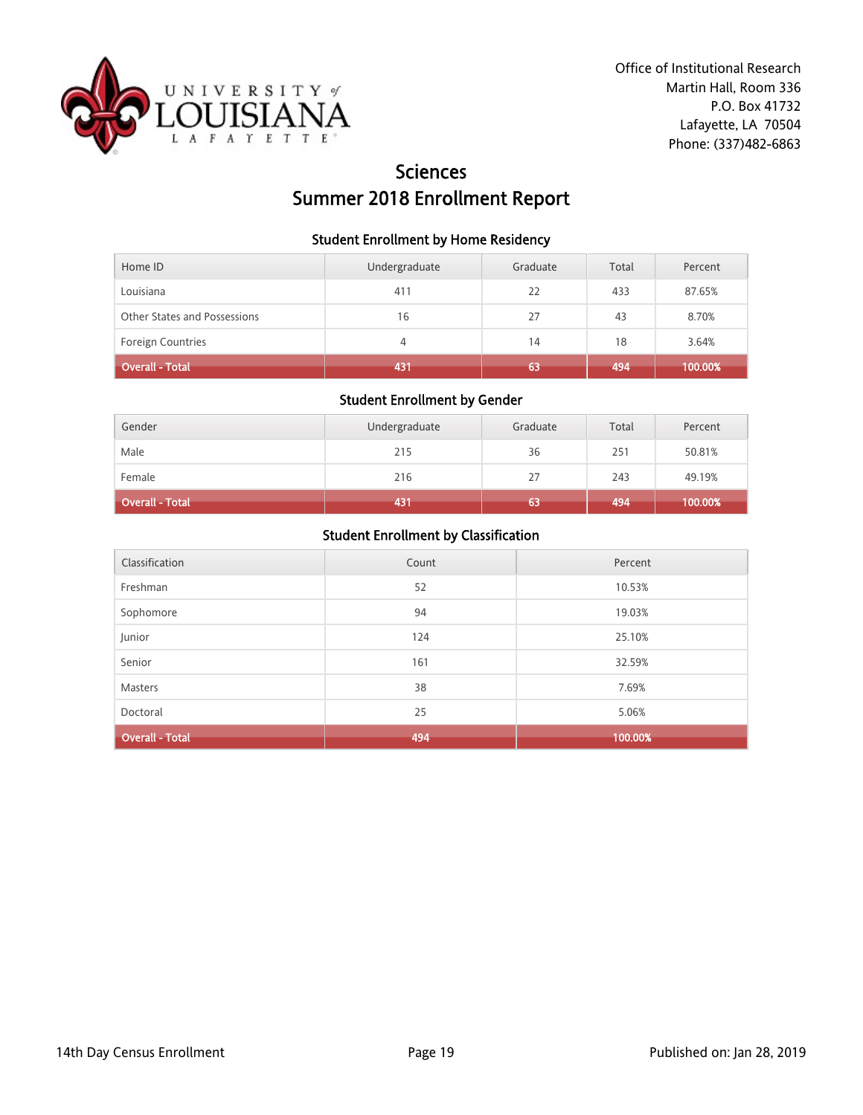

# **Sciences** Summer 2018 Enrollment Report

#### Student Enrollment by Home Residency

| Home ID                      | Undergraduate | Graduate | Total | Percent |
|------------------------------|---------------|----------|-------|---------|
| Louisiana                    | 411           | 22       | 433   | 87.65%  |
| Other States and Possessions | 16            | 27       | 43    | 8.70%   |
| <b>Foreign Countries</b>     | 4             | 14       | 18    | 3.64%   |
| Overall - Total              | 431           | 63       | 494   | 100.00% |

## Student Enrollment by Gender

| Gender                 | Undergraduate | Graduate | Total | Percent |
|------------------------|---------------|----------|-------|---------|
| Male                   | 215           | 36       | 251   | 50.81%  |
| Female                 | 216           | 27       | 243   | 49.19%  |
| <b>Overall - Total</b> | 431           | 63       | 494   | 100.00% |

| Classification         | Count | Percent |
|------------------------|-------|---------|
| Freshman               | 52    | 10.53%  |
| Sophomore              | 94    | 19.03%  |
| Junior                 | 124   | 25.10%  |
| Senior                 | 161   | 32.59%  |
| Masters                | 38    | 7.69%   |
| Doctoral               | 25    | 5.06%   |
| <b>Overall - Total</b> | 494   | 100.00% |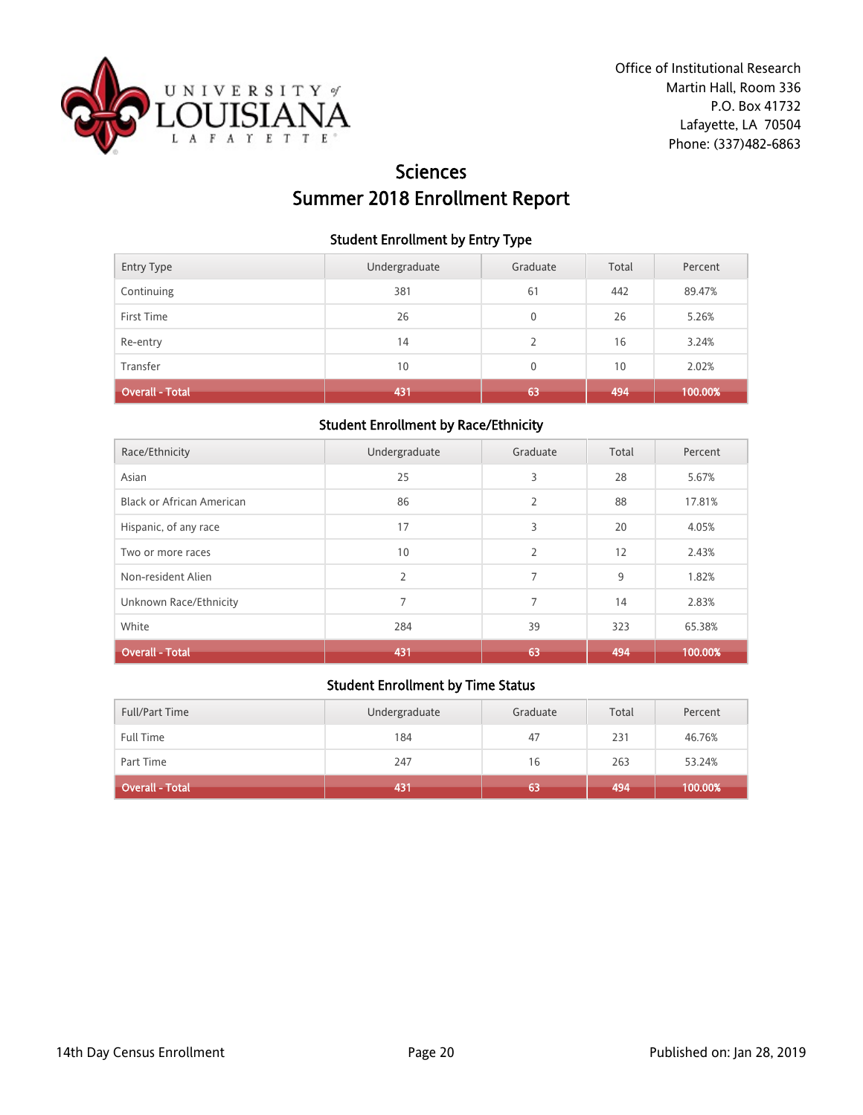

# **Sciences** Summer 2018 Enrollment Report

#### Student Enrollment by Entry Type

| <b>Entry Type</b>      | Undergraduate | Graduate     | Total | Percent |
|------------------------|---------------|--------------|-------|---------|
| Continuing             | 381           | 61           | 442   | 89.47%  |
| First Time             | 26            | 0            | 26    | 5.26%   |
| Re-entry               | 14            | 2            | 16    | 3.24%   |
| Transfer               | 10            | $\mathbf{0}$ | 10    | 2.02%   |
| <b>Overall - Total</b> | 431           | 63           | 494   | 100.00% |

#### Student Enrollment by Race/Ethnicity

| Race/Ethnicity                   | Undergraduate  | Graduate       | Total | Percent |
|----------------------------------|----------------|----------------|-------|---------|
| Asian                            | 25             | 3              | 28    | 5.67%   |
| <b>Black or African American</b> | 86             | $\overline{2}$ | 88    | 17.81%  |
| Hispanic, of any race            | 17             | 3              | 20    | 4.05%   |
| Two or more races                | 10             | $\overline{2}$ | 12    | 2.43%   |
| Non-resident Alien               | $\overline{2}$ | 7              | 9     | 1.82%   |
| Unknown Race/Ethnicity           | 7              | 7              | 14    | 2.83%   |
| White                            | 284            | 39             | 323   | 65.38%  |
| <b>Overall - Total</b>           | 431            | 63             | 494   | 100.00% |

| <b>Full/Part Time</b> | Undergraduate | Graduate | Total | Percent |
|-----------------------|---------------|----------|-------|---------|
| <b>Full Time</b>      | 184           | 47       | 231   | 46.76%  |
| Part Time             | 247           | 16       | 263   | 53.24%  |
| Overall - Total       | 431           | 63       | 494   | 100.00% |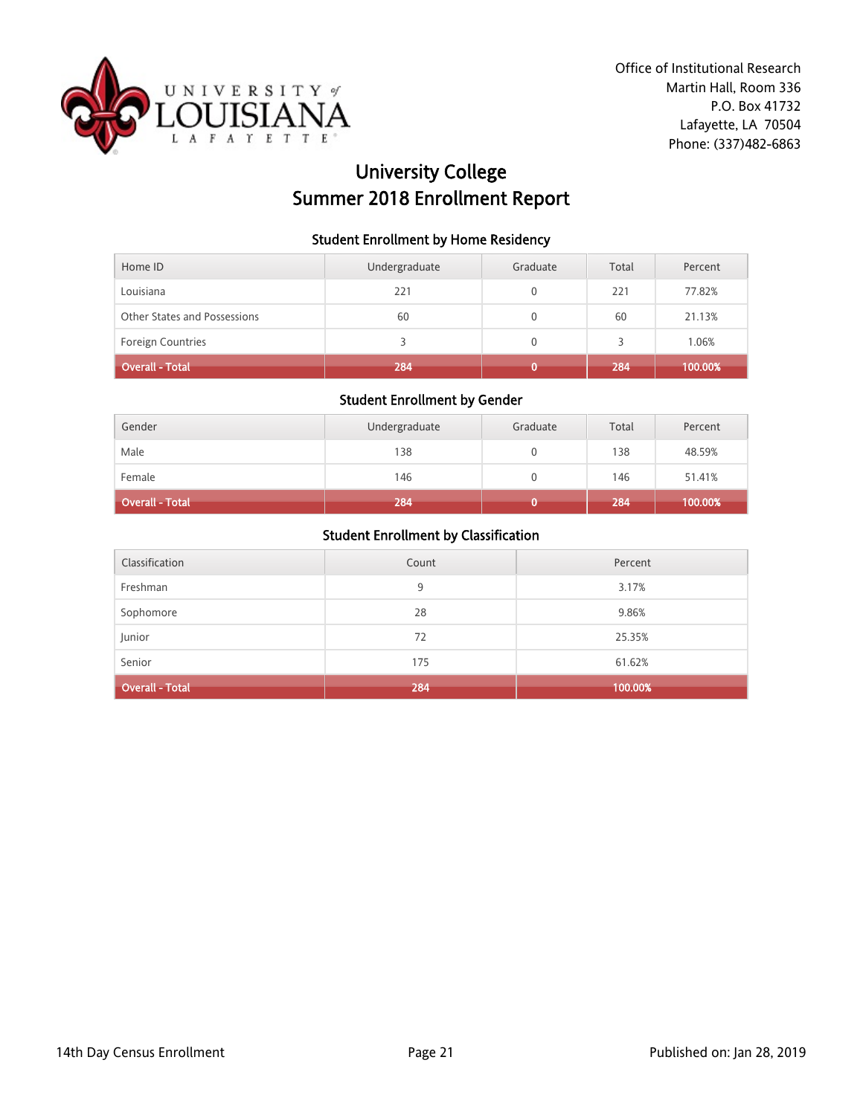

# University College Summer 2018 Enrollment Report

### Student Enrollment by Home Residency

| Home ID                      | Undergraduate | Graduate | Total | Percent |
|------------------------------|---------------|----------|-------|---------|
| Louisiana                    | 221           | 0        | 221   | 77.82%  |
| Other States and Possessions | 60            | 0        | 60    | 21.13%  |
| <b>Foreign Countries</b>     |               | 0        |       | 1.06%   |
| <b>Overall - Total</b>       | 284           |          | 284   | 100.00% |

## Student Enrollment by Gender

| Gender          | Undergraduate | Graduate | Total | Percent |
|-----------------|---------------|----------|-------|---------|
| Male            | 138           |          | 138   | 48.59%  |
| Female          | 146           |          | 146   | 51.41%  |
| Overall - Total | 284           |          | 284   | 100.00% |

| Classification         | Count | Percent |
|------------------------|-------|---------|
| Freshman               | 9     | 3.17%   |
| Sophomore              | 28    | 9.86%   |
| Junior                 | 72    | 25.35%  |
| Senior                 | 175   | 61.62%  |
| <b>Overall - Total</b> | 284   | 100.00% |